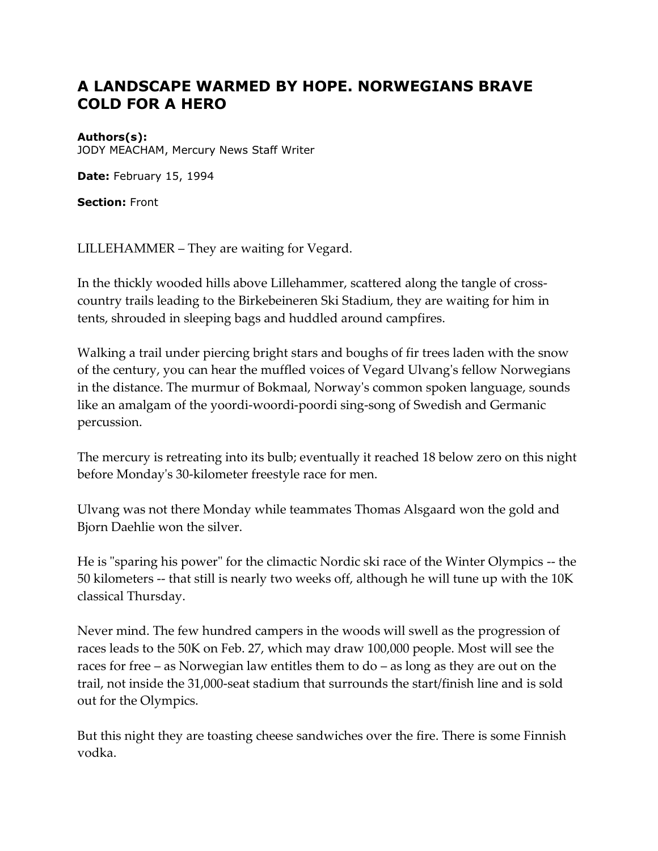## **A LANDSCAPE WARMED BY HOPE. NORWEGIANS BRAVE COLD FOR A HERO**

## **Authors(s):**

JODY MEACHAM, Mercury News Staff Writer

**Date:** February 15, 1994

**Section:** Front

LILLEHAMMER – They are waiting for Vegard.

In the thickly wooded hills above Lillehammer, scattered along the tangle of crosscountry trails leading to the Birkebeineren Ski Stadium, they are waiting for him in tents, shrouded in sleeping bags and huddled around campfires.

Walking a trail under piercing bright stars and boughs of fir trees laden with the snow of the century, you can hear the muffled voices of Vegard Ulvang's fellow Norwegians in the distance. The murmur of Bokmaal, Norway's common spoken language, sounds like an amalgam of the yoordi-woordi-poordi sing-song of Swedish and Germanic percussion.

The mercury is retreating into its bulb; eventually it reached 18 below zero on this night before Monday's 30-kilometer freestyle race for men.

Ulvang was not there Monday while teammates Thomas Alsgaard won the gold and Bjorn Daehlie won the silver.

He is "sparing his power" for the climactic Nordic ski race of the Winter Olympics -- the 50 kilometers -- that still is nearly two weeks off, although he will tune up with the 10K classical Thursday.

Never mind. The few hundred campers in the woods will swell as the progression of races leads to the 50K on Feb. 27, which may draw 100,000 people. Most will see the races for free – as Norwegian law entitles them to do – as long as they are out on the trail, not inside the 31,000-seat stadium that surrounds the start/finish line and is sold out for the Olympics.

But this night they are toasting cheese sandwiches over the fire. There is some Finnish vodka.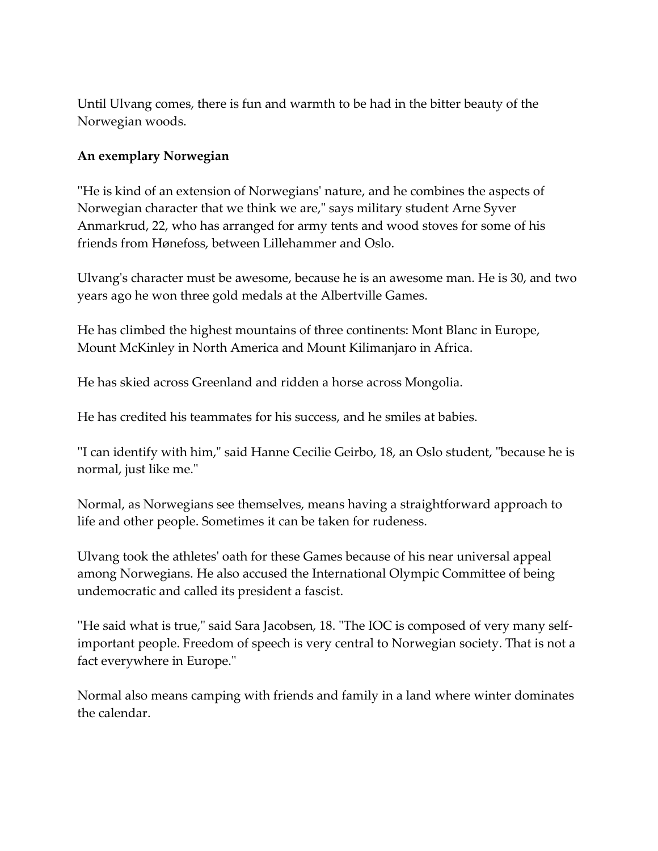Until Ulvang comes, there is fun and warmth to be had in the bitter beauty of the Norwegian woods.

## **An exemplary Norwegian**

''He is kind of an extension of Norwegians' nature, and he combines the aspects of Norwegian character that we think we are," says military student Arne Syver Anmarkrud, 22, who has arranged for army tents and wood stoves for some of his friends from Hønefoss, between Lillehammer and Oslo.

Ulvang's character must be awesome, because he is an awesome man. He is 30, and two years ago he won three gold medals at the Albertville Games.

He has climbed the highest mountains of three continents: Mont Blanc in Europe, Mount McKinley in North America and Mount Kilimanjaro in Africa.

He has skied across Greenland and ridden a horse across Mongolia.

He has credited his teammates for his success, and he smiles at babies.

''I can identify with him," said Hanne Cecilie Geirbo, 18, an Oslo student, "because he is normal, just like me."

Normal, as Norwegians see themselves, means having a straightforward approach to life and other people. Sometimes it can be taken for rudeness.

Ulvang took the athletes' oath for these Games because of his near universal appeal among Norwegians. He also accused the International Olympic Committee of being undemocratic and called its president a fascist.

''He said what is true," said Sara Jacobsen, 18. "The IOC is composed of very many selfimportant people. Freedom of speech is very central to Norwegian society. That is not a fact everywhere in Europe."

Normal also means camping with friends and family in a land where winter dominates the calendar.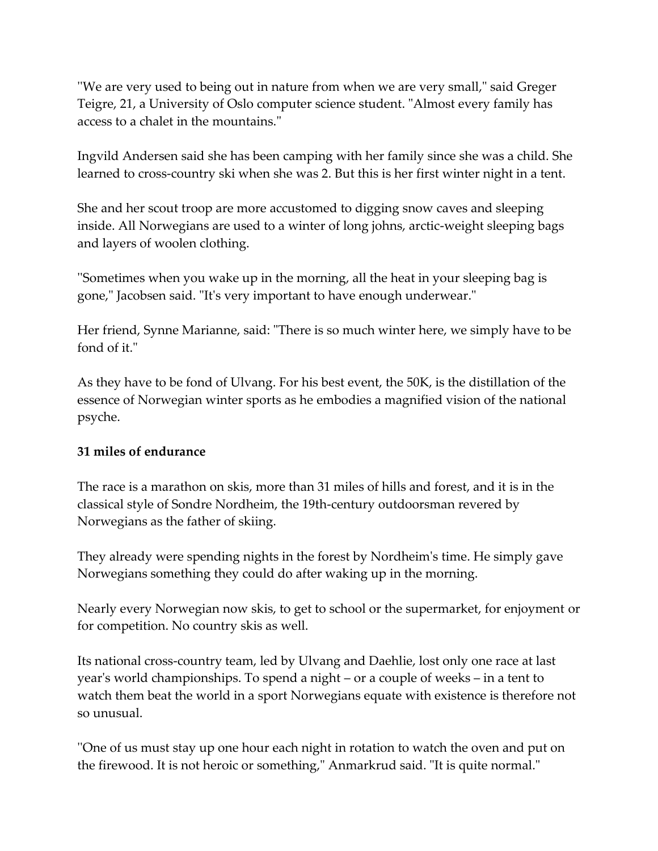''We are very used to being out in nature from when we are very small," said Greger Teigre, 21, a University of Oslo computer science student. "Almost every family has access to a chalet in the mountains."

Ingvild Andersen said she has been camping with her family since she was a child. She learned to cross-country ski when she was 2. But this is her first winter night in a tent.

She and her scout troop are more accustomed to digging snow caves and sleeping inside. All Norwegians are used to a winter of long johns, arctic-weight sleeping bags and layers of woolen clothing.

''Sometimes when you wake up in the morning, all the heat in your sleeping bag is gone," Jacobsen said. "It's very important to have enough underwear."

Her friend, Synne Marianne, said: "There is so much winter here, we simply have to be fond of it."

As they have to be fond of Ulvang. For his best event, the 50K, is the distillation of the essence of Norwegian winter sports as he embodies a magnified vision of the national psyche.

## **31 miles of endurance**

The race is a marathon on skis, more than 31 miles of hills and forest, and it is in the classical style of Sondre Nordheim, the 19th-century outdoorsman revered by Norwegians as the father of skiing.

They already were spending nights in the forest by Nordheim's time. He simply gave Norwegians something they could do after waking up in the morning.

Nearly every Norwegian now skis, to get to school or the supermarket, for enjoyment or for competition. No country skis as well.

Its national cross-country team, led by Ulvang and Daehlie, lost only one race at last year's world championships. To spend a night – or a couple of weeks – in a tent to watch them beat the world in a sport Norwegians equate with existence is therefore not so unusual.

''One of us must stay up one hour each night in rotation to watch the oven and put on the firewood. It is not heroic or something," Anmarkrud said. "It is quite normal."